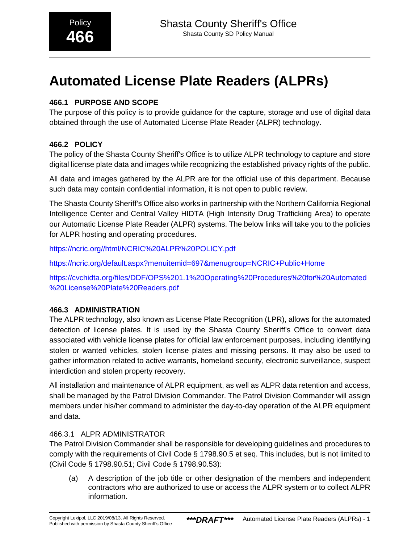# **Automated License Plate Readers (ALPRs)**

# **466.1 PURPOSE AND SCOPE**

The purpose of this policy is to provide guidance for the capture, storage and use of digital data obtained through the use of Automated License Plate Reader (ALPR) technology.

# **466.2 POLICY**

The policy of the Shasta County Sheriff's Office is to utilize ALPR technology to capture and store digital license plate data and images while recognizing the established privacy rights of the public.

All data and images gathered by the ALPR are for the official use of this department. Because such data may contain confidential information, it is not open to public review.

The Shasta County Sheriff's Office also works in partnership with the Northern California Regional Intelligence Center and Central Valley HIDTA (High Intensity Drug Trafficking Area) to operate our Automatic License Plate Reader (ALPR) systems. The below links will take you to the policies for ALPR hosting and operating procedures.

https://ncric.org//html/NCRIC%20ALPR%20POLICY.pdf

<https://ncric.org/default.aspx?menuitemid=697&menugroup=NCRIC+Public+Home>

https://cvchidta.org/files/DDF/OPS%201.1%20Operating%20Procedures%20for%20Automated %20License%20Plate%20Readers.pdf

# **466.3 ADMINISTRATION**

The ALPR technology, also known as License Plate Recognition (LPR), allows for the automated detection of license plates. It is used by the Shasta County Sheriff's Office to convert data associated with vehicle license plates for official law enforcement purposes, including identifying stolen or wanted vehicles, stolen license plates and missing persons. It may also be used to gather information related to active warrants, homeland security, electronic surveillance, suspect interdiction and stolen property recovery.

All installation and maintenance of ALPR equipment, as well as ALPR data retention and access, shall be managed by the Patrol Division Commander. The Patrol Division Commander will assign members under his/her command to administer the day-to-day operation of the ALPR equipment and data.

# 466.3.1 ALPR ADMINISTRATOR

The Patrol Division Commander shall be responsible for developing guidelines and procedures to comply with the requirements of Civil Code § 1798.90.5 et seq. This includes, but is not limited to (Civil Code § 1798.90.51; Civil Code § 1798.90.53):

(a) A description of the job title or other designation of the members and independent contractors who are authorized to use or access the ALPR system or to collect ALPR information.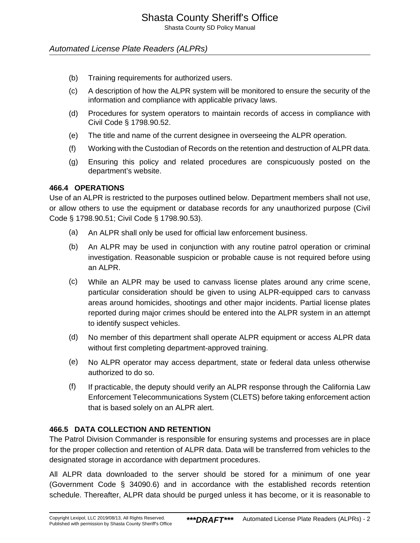Shasta County SD Policy Manual

### Automated License Plate Readers (ALPRs)

- (b) Training requirements for authorized users.
- (c) A description of how the ALPR system will be monitored to ensure the security of the information and compliance with applicable privacy laws.
- (d) Procedures for system operators to maintain records of access in compliance with Civil Code § 1798.90.52.
- (e) The title and name of the current designee in overseeing the ALPR operation.
- (f) Working with the Custodian of Records on the retention and destruction of ALPR data.
- (g) Ensuring this policy and related procedures are conspicuously posted on the department's website.

#### **466.4 OPERATIONS**

Use of an ALPR is restricted to the purposes outlined below. Department members shall not use, or allow others to use the equipment or database records for any unauthorized purpose (Civil Code § 1798.90.51; Civil Code § 1798.90.53).

- (a) An ALPR shall only be used for official law enforcement business.
- (b) An ALPR may be used in conjunction with any routine patrol operation or criminal investigation. Reasonable suspicion or probable cause is not required before using an ALPR.
- (c) While an ALPR may be used to canvass license plates around any crime scene, particular consideration should be given to using ALPR-equipped cars to canvass areas around homicides, shootings and other major incidents. Partial license plates reported during major crimes should be entered into the ALPR system in an attempt to identify suspect vehicles.
- (d) No member of this department shall operate ALPR equipment or access ALPR data without first completing department-approved training.
- (e) No ALPR operator may access department, state or federal data unless otherwise authorized to do so.
- (f) If practicable, the deputy should verify an ALPR response through the California Law Enforcement Telecommunications System (CLETS) before taking enforcement action that is based solely on an ALPR alert.

#### **466.5 DATA COLLECTION AND RETENTION**

The Patrol Division Commander is responsible for ensuring systems and processes are in place for the proper collection and retention of ALPR data. Data will be transferred from vehicles to the designated storage in accordance with department procedures.

All ALPR data downloaded to the server should be stored for a minimum of one year (Government Code § 34090.6) and in accordance with the established records retention schedule. Thereafter, ALPR data should be purged unless it has become, or it is reasonable to